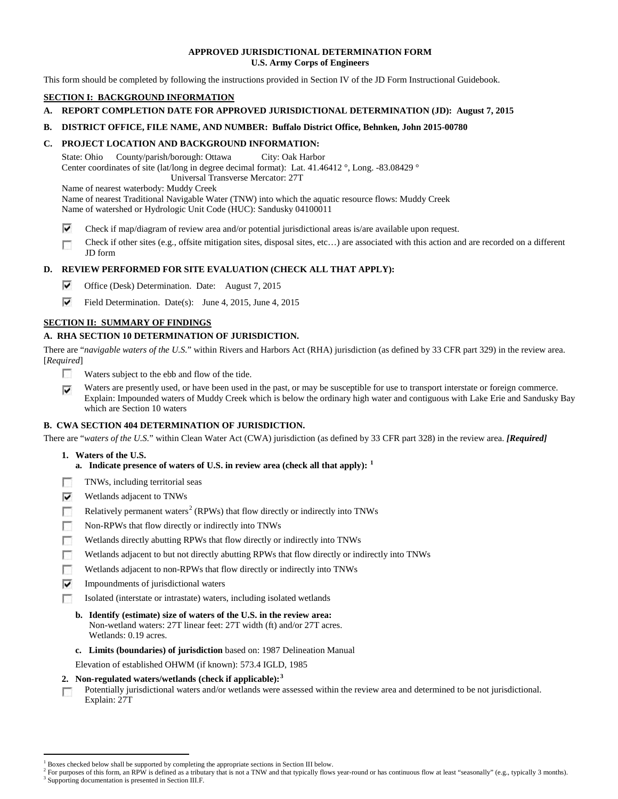### **APPROVED JURISDICTIONAL DETERMINATION FORM U.S. Army Corps of Engineers**

This form should be completed by following the instructions provided in Section IV of the JD Form Instructional Guidebook.

# **SECTION I: BACKGROUND INFORMATION**

# **A. REPORT COMPLETION DATE FOR APPROVED JURISDICTIONAL DETERMINATION (JD): August 7, 2015**

## **B. DISTRICT OFFICE, FILE NAME, AND NUMBER: Buffalo District Office, Behnken, John 2015-00780**

# **C. PROJECT LOCATION AND BACKGROUND INFORMATION:**

State: Ohio County/parish/borough: Ottawa City: Oak Harbor Center coordinates of site (lat/long in degree decimal format): Lat. 41.46412 °, Long. -83.08429 ° Universal Transverse Mercator: 27T

Name of nearest waterbody: Muddy Creek

- Name of nearest Traditional Navigable Water (TNW) into which the aquatic resource flows: Muddy Creek Name of watershed or Hydrologic Unit Code (HUC): Sandusky 04100011
- ⊽ Check if map/diagram of review area and/or potential jurisdictional areas is/are available upon request.
- Check if other sites (e.g., offsite mitigation sites, disposal sites, etc…) are associated with this action and are recorded on a different г JD form

# **D. REVIEW PERFORMED FOR SITE EVALUATION (CHECK ALL THAT APPLY):**

- ⊽ Office (Desk) Determination. Date: August 7, 2015
- ⊽ Field Determination. Date(s): June 4, 2015, June 4, 2015

# **SECTION II: SUMMARY OF FINDINGS**

# **A. RHA SECTION 10 DETERMINATION OF JURISDICTION.**

There are "*navigable waters of the U.S.*" within Rivers and Harbors Act (RHA) jurisdiction (as defined by 33 CFR part 329) in the review area. [*Required*]

- n. Waters subject to the ebb and flow of the tide.
- Waters are presently used, or have been used in the past, or may be susceptible for use to transport interstate or foreign commerce. ⊽ Explain: Impounded waters of Muddy Creek which is below the ordinary high water and contiguous with Lake Erie and Sandusky Bay which are Section 10 waters

# **B. CWA SECTION 404 DETERMINATION OF JURISDICTION.**

There are "*waters of the U.S.*" within Clean Water Act (CWA) jurisdiction (as defined by 33 CFR part 328) in the review area. *[Required]*

## **1. Waters of the U.S.**

- **a. Indicate presence of waters of U.S. in review area (check all that apply): [1](#page-0-0)**
- TNWs, including territorial seas
- ⊽ Wetlands adjacent to TNWs
- Relatively permanent waters<sup>[2](#page-0-1)</sup> (RPWs) that flow directly or indirectly into TNWs n
- m Non-RPWs that flow directly or indirectly into TNWs
- Wetlands directly abutting RPWs that flow directly or indirectly into TNWs п
- Wetlands adjacent to but not directly abutting RPWs that flow directly or indirectly into TNWs г
- n Wetlands adjacent to non-RPWs that flow directly or indirectly into TNWs
- ⊽ Impoundments of jurisdictional waters
- Isolated (interstate or intrastate) waters, including isolated wetlands n
	- **b. Identify (estimate) size of waters of the U.S. in the review area:** Non-wetland waters: 27T linear feet: 27T width (ft) and/or 27T acres. Wetlands: 0.19 acres.
	- **c. Limits (boundaries) of jurisdiction** based on: 1987 Delineation Manual
	- Elevation of established OHWM (if known): 573.4 IGLD, 1985
- **2. Non-regulated waters/wetlands (check if applicable): [3](#page-0-2)**
- Potentially jurisdictional waters and/or wetlands were assessed within the review area and determined to be not jurisdictional. п Explain: 27T

<sup>&</sup>lt;sup>1</sup> Boxes checked below shall be supported by completing the appropriate sections in Section III below.

<span id="page-0-2"></span><span id="page-0-1"></span><span id="page-0-0"></span> $^2$  For purposes of this form, an RPW is defined as a tributary that is not a TNW and that typically flows year-round or has continuous flow at least "seasonally" (e.g., typically 3 months).<br><sup>3</sup> Supporting documentation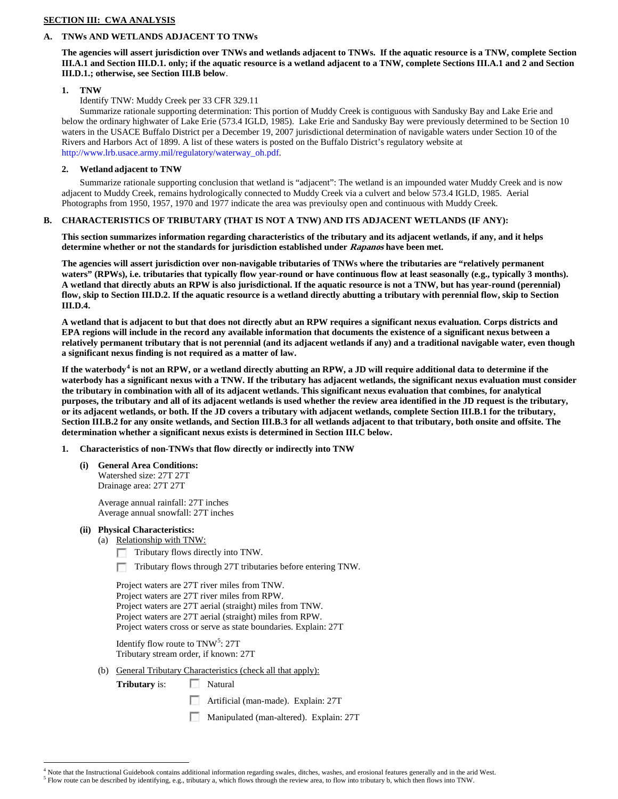### **SECTION III: CWA ANALYSIS**

# **A. TNWs AND WETLANDS ADJACENT TO TNWs**

## **The agencies will assert jurisdiction over TNWs and wetlands adjacent to TNWs. If the aquatic resource is a TNW, complete Section III.A.1 and Section III.D.1. only; if the aquatic resource is a wetland adjacent to a TNW, complete Sections III.A.1 and 2 and Section III.D.1.; otherwise, see Section III.B below**.

### **1. TNW**

Identify TNW: Muddy Creek per 33 CFR 329.11

Summarize rationale supporting determination: This portion of Muddy Creek is contiguous with Sandusky Bay and Lake Erie and below the ordinary highwater of Lake Erie (573.4 IGLD, 1985). Lake Erie and Sandusky Bay were previously determined to be Section 10 waters in the USACE Buffalo District per a December 19, 2007 jurisdictional determination of navigable waters under Section 10 of the Rivers and Harbors Act of 1899. A list of these waters is posted on the Buffalo District's regulatory website at http://www.lrb.usace.army.mil/regulatory/waterway\_oh.pdf.

## **2. Wetland adjacent to TNW**

Summarize rationale supporting conclusion that wetland is "adjacent": The wetland is an impounded water Muddy Creek and is now adjacent to Muddy Creek, remains hydrologically connected to Muddy Creek via a culvert and below 573.4 IGLD, 1985. Aerial Photographs from 1950, 1957, 1970 and 1977 indicate the area was previoulsy open and continuous with Muddy Creek.

### **B. CHARACTERISTICS OF TRIBUTARY (THAT IS NOT A TNW) AND ITS ADJACENT WETLANDS (IF ANY):**

**This section summarizes information regarding characteristics of the tributary and its adjacent wetlands, if any, and it helps determine whether or not the standards for jurisdiction established under Rapanos have been met.** 

**The agencies will assert jurisdiction over non-navigable tributaries of TNWs where the tributaries are "relatively permanent waters" (RPWs), i.e. tributaries that typically flow year-round or have continuous flow at least seasonally (e.g., typically 3 months). A wetland that directly abuts an RPW is also jurisdictional. If the aquatic resource is not a TNW, but has year-round (perennial) flow, skip to Section III.D.2. If the aquatic resource is a wetland directly abutting a tributary with perennial flow, skip to Section III.D.4.**

**A wetland that is adjacent to but that does not directly abut an RPW requires a significant nexus evaluation. Corps districts and EPA regions will include in the record any available information that documents the existence of a significant nexus between a relatively permanent tributary that is not perennial (and its adjacent wetlands if any) and a traditional navigable water, even though a significant nexus finding is not required as a matter of law.**

**If the waterbody[4](#page-1-0) is not an RPW, or a wetland directly abutting an RPW, a JD will require additional data to determine if the waterbody has a significant nexus with a TNW. If the tributary has adjacent wetlands, the significant nexus evaluation must consider the tributary in combination with all of its adjacent wetlands. This significant nexus evaluation that combines, for analytical purposes, the tributary and all of its adjacent wetlands is used whether the review area identified in the JD request is the tributary, or its adjacent wetlands, or both. If the JD covers a tributary with adjacent wetlands, complete Section III.B.1 for the tributary, Section III.B.2 for any onsite wetlands, and Section III.B.3 for all wetlands adjacent to that tributary, both onsite and offsite. The determination whether a significant nexus exists is determined in Section III.C below.**

#### **1. Characteristics of non-TNWs that flow directly or indirectly into TNW**

**(i) General Area Conditions:** Watershed size: 27T 27T Drainage area: 27T 27T

> Average annual rainfall: 27T inches Average annual snowfall: 27T inches

#### **(ii) Physical Characteristics:**

- (a) Relationship with TNW:
	- Tributary flows directly into TNW. n
	- Tributary flows through 27T tributaries before entering TNW.

Project waters are 27T river miles from TNW. Project waters are 27T river miles from RPW. Project waters are 27T aerial (straight) miles from TNW. Project waters are 27T aerial (straight) miles from RPW. Project waters cross or serve as state boundaries. Explain: 27T

Identify flow route to TNW<sup>[5](#page-1-1)</sup>: 27T Tributary stream order, if known: 27T

(b) General Tributary Characteristics (check all that apply):

**Tributary** is: Natural

- Artificial (man-made). Explain: 27T
- $\sim$ Manipulated (man-altered). Explain: 27T

<span id="page-1-0"></span> $4$  Note that the Instructional Guidebook contains additional information regarding swales, ditches, washes, and erosional features generally and in the arid West.<br><sup>5</sup> Flow route can be described by identifying, e.g., tri

<span id="page-1-1"></span>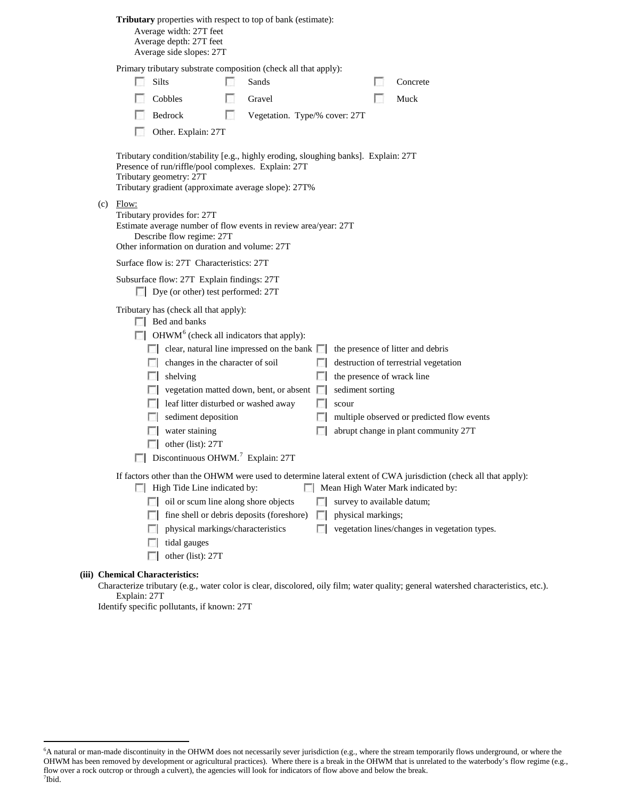|  |                                                                                                                                                                                                                                                                                                                                                                                                                                                                                             | Average width: 27T feet<br>Average depth: 27T feet<br>Average side slopes: 27T                                                                                                                                                                                                                                                                      |  | Tributary properties with respect to top of bank (estimate):                                                     |                                    |                                                         |  |                                                                                                                                                                  |  |  |  |
|--|---------------------------------------------------------------------------------------------------------------------------------------------------------------------------------------------------------------------------------------------------------------------------------------------------------------------------------------------------------------------------------------------------------------------------------------------------------------------------------------------|-----------------------------------------------------------------------------------------------------------------------------------------------------------------------------------------------------------------------------------------------------------------------------------------------------------------------------------------------------|--|------------------------------------------------------------------------------------------------------------------|------------------------------------|---------------------------------------------------------|--|------------------------------------------------------------------------------------------------------------------------------------------------------------------|--|--|--|
|  | L.                                                                                                                                                                                                                                                                                                                                                                                                                                                                                          | Primary tributary substrate composition (check all that apply):<br>Silts                                                                                                                                                                                                                                                                            |  | Sands                                                                                                            |                                    |                                                         |  | Concrete                                                                                                                                                         |  |  |  |
|  |                                                                                                                                                                                                                                                                                                                                                                                                                                                                                             | Cobbles                                                                                                                                                                                                                                                                                                                                             |  | Gravel                                                                                                           |                                    |                                                         |  | Muck                                                                                                                                                             |  |  |  |
|  |                                                                                                                                                                                                                                                                                                                                                                                                                                                                                             | Bedrock                                                                                                                                                                                                                                                                                                                                             |  |                                                                                                                  |                                    |                                                         |  |                                                                                                                                                                  |  |  |  |
|  | <b>COLLEGE</b><br>Vegetation. Type/% cover: 27T                                                                                                                                                                                                                                                                                                                                                                                                                                             |                                                                                                                                                                                                                                                                                                                                                     |  |                                                                                                                  |                                    |                                                         |  |                                                                                                                                                                  |  |  |  |
|  |                                                                                                                                                                                                                                                                                                                                                                                                                                                                                             | Other. Explain: 27T                                                                                                                                                                                                                                                                                                                                 |  |                                                                                                                  |                                    |                                                         |  |                                                                                                                                                                  |  |  |  |
|  |                                                                                                                                                                                                                                                                                                                                                                                                                                                                                             | Tributary condition/stability [e.g., highly eroding, sloughing banks]. Explain: 27T<br>Presence of run/riffle/pool complexes. Explain: 27T<br>Tributary geometry: 27T<br>Tributary gradient (approximate average slope): 27T%                                                                                                                       |  |                                                                                                                  |                                    |                                                         |  |                                                                                                                                                                  |  |  |  |
|  | $(c)$ Flow:<br>Tributary provides for: 27T<br>Estimate average number of flow events in review area/year: 27T<br>Describe flow regime: 27T<br>Other information on duration and volume: 27T<br>Surface flow is: 27T Characteristics: 27T<br>Subsurface flow: 27T Explain findings: 27T<br>Dye (or other) test performed: 27T                                                                                                                                                                |                                                                                                                                                                                                                                                                                                                                                     |  |                                                                                                                  |                                    |                                                         |  |                                                                                                                                                                  |  |  |  |
|  |                                                                                                                                                                                                                                                                                                                                                                                                                                                                                             |                                                                                                                                                                                                                                                                                                                                                     |  |                                                                                                                  |                                    |                                                         |  |                                                                                                                                                                  |  |  |  |
|  |                                                                                                                                                                                                                                                                                                                                                                                                                                                                                             |                                                                                                                                                                                                                                                                                                                                                     |  |                                                                                                                  |                                    |                                                         |  |                                                                                                                                                                  |  |  |  |
|  |                                                                                                                                                                                                                                                                                                                                                                                                                                                                                             | Tributary has (check all that apply):<br>$\Box$ Bed and banks<br>$\Box$ OHWM <sup>6</sup> (check all indicators that apply):<br>changes in the character of soil<br>$\Box$ shelving<br>leaf litter disturbed or washed away<br>sediment deposition<br>water staining<br>other (list): $27T$<br>$\Box$ Discontinuous OHWM. <sup>7</sup> Explain: 27T |  | $\Box$ clear, natural line impressed on the bank $\Box$<br>$\Box$ vegetation matted down, bent, or absent $\Box$ | $\mathbf{L}$<br>L.<br>$\mathbf{L}$ | the presence of wrack line<br>sediment sorting<br>scour |  | the presence of litter and debris<br>destruction of terrestrial vegetation<br>multiple observed or predicted flow events<br>abrupt change in plant community 27T |  |  |  |
|  | If factors other than the OHWM were used to determine lateral extent of CWA jurisdiction (check all that apply):<br>Mean High Water Mark indicated by:<br><b>High Tide Line indicated by:</b><br>oil or scum line along shore objects<br>survey to available datum;<br>fine shell or debris deposits (foreshore)<br>physical markings;<br>$\mathbf{L}$<br>vegetation lines/changes in vegetation types.<br>physical markings/characteristics<br>$\sim$<br>tidal gauges<br>other (list): 27T |                                                                                                                                                                                                                                                                                                                                                     |  |                                                                                                                  |                                    |                                                         |  |                                                                                                                                                                  |  |  |  |

# **(iii) Chemical Characteristics:**

Characterize tributary (e.g., water color is clear, discolored, oily film; water quality; general watershed characteristics, etc.). Explain: 27T

Identify specific pollutants, if known: 27T

<span id="page-2-1"></span><span id="page-2-0"></span> <sup>6</sup> A natural or man-made discontinuity in the OHWM does not necessarily sever jurisdiction (e.g., where the stream temporarily flows underground, or where the OHWM has been removed by development or agricultural practices). Where there is a break in the OHWM that is unrelated to the waterbody's flow regime (e.g., flow over a rock outcrop or through a culvert), the agencies will look for indicators of flow above and below the break. 7 Ibid.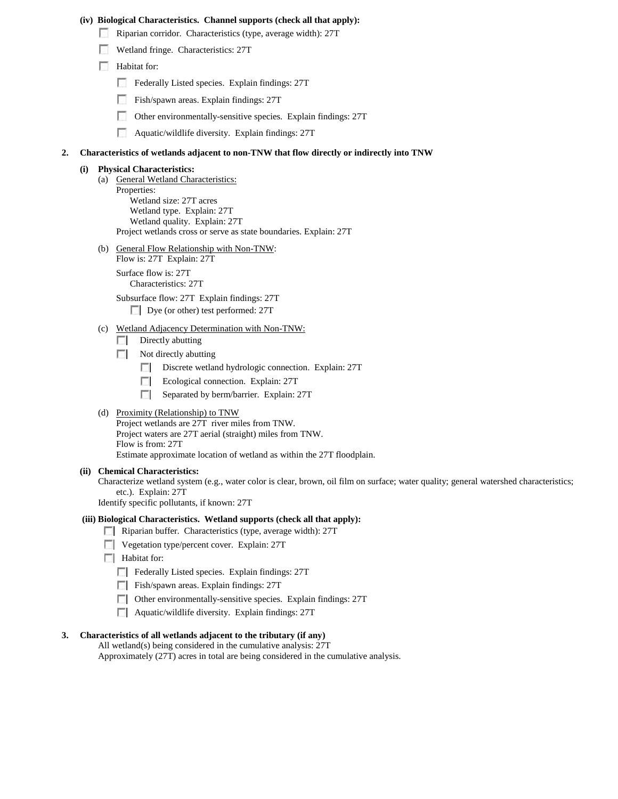#### **(iv) Biological Characteristics. Channel supports (check all that apply):**

- Riparian corridor. Characteristics (type, average width): 27T
- Wetland fringe. Characteristics: 27T
- Habitat for:
	- Federally Listed species. Explain findings: 27T
	- Fish/spawn areas. Explain findings: 27T
	- Other environmentally-sensitive species. Explain findings: 27T
	- Aquatic/wildlife diversity. Explain findings: 27T

#### **2. Characteristics of wetlands adjacent to non-TNW that flow directly or indirectly into TNW**

### **(i) Physical Characteristics:**

- (a) General Wetland Characteristics: Properties: Wetland size: 27T acres Wetland type. Explain: 27T Wetland quality. Explain: 27T Project wetlands cross or serve as state boundaries. Explain: 27T
- (b) General Flow Relationship with Non-TNW: Flow is: 27T Explain: 27T

Surface flow is: 27T Characteristics: 27T

Subsurface flow: 27T Explain findings: 27T

Dye (or other) test performed: 27T

## (c) Wetland Adjacency Determination with Non-TNW:

- $\Box$  Directly abutting
- $\Box$  Not directly abutting
	- Discrete wetland hydrologic connection. Explain: 27T
	- Ecological connection. Explain: 27T
	- Separated by berm/barrier. Explain: 27T

#### (d) Proximity (Relationship) to TNW

Project wetlands are 27T river miles from TNW. Project waters are 27T aerial (straight) miles from TNW. Flow is from: 27T Estimate approximate location of wetland as within the 27T floodplain.

#### **(ii) Chemical Characteristics:**

Characterize wetland system (e.g., water color is clear, brown, oil film on surface; water quality; general watershed characteristics; etc.). Explain: 27T

Identify specific pollutants, if known: 27T

#### **(iii) Biological Characteristics. Wetland supports (check all that apply):**

- Riparian buffer. Characteristics (type, average width): 27T
- Vegetation type/percent cover. Explain: 27T
- **Habitat for:** 
	- Federally Listed species. Explain findings: 27T
	- Fish/spawn areas. Explain findings: 27T
	- Other environmentally-sensitive species. Explain findings: 27T
	- Aquatic/wildlife diversity. Explain findings: 27T

#### **3. Characteristics of all wetlands adjacent to the tributary (if any)**

All wetland(s) being considered in the cumulative analysis: 27T

Approximately (27T) acres in total are being considered in the cumulative analysis.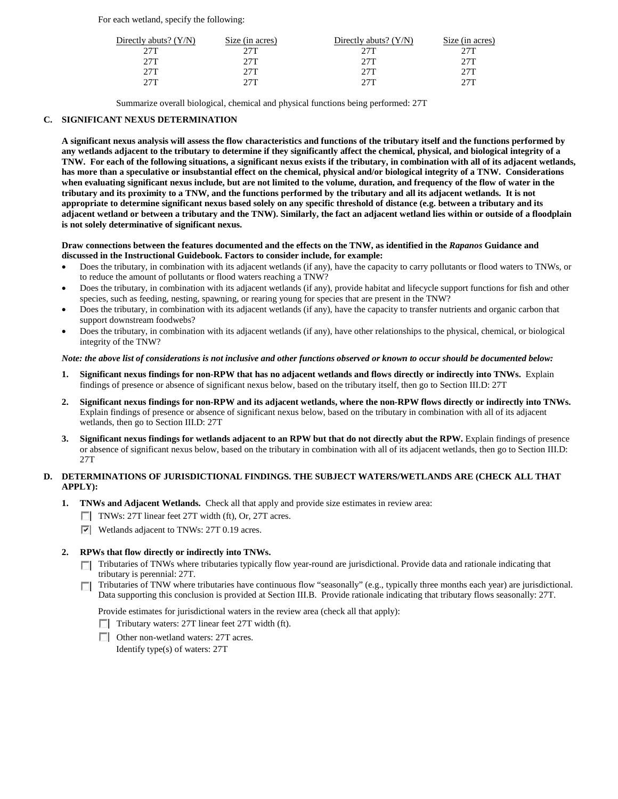For each wetland, specify the following:

| Directly abuts? $(Y/N)$ | Size (in acres) | Directly abuts? $(Y/N)$ | Size (in acres) |
|-------------------------|-----------------|-------------------------|-----------------|
| 27T                     | 27T             | 27T                     | 27T             |
| 2.7T                    | 27T             | 27T                     | 27T             |
| 27T                     | 27T             | 27T                     | 27T             |
| 27T                     | クワエ             | 27T                     | 27T             |

Summarize overall biological, chemical and physical functions being performed: 27T

## **C. SIGNIFICANT NEXUS DETERMINATION**

**A significant nexus analysis will assess the flow characteristics and functions of the tributary itself and the functions performed by any wetlands adjacent to the tributary to determine if they significantly affect the chemical, physical, and biological integrity of a TNW. For each of the following situations, a significant nexus exists if the tributary, in combination with all of its adjacent wetlands, has more than a speculative or insubstantial effect on the chemical, physical and/or biological integrity of a TNW. Considerations when evaluating significant nexus include, but are not limited to the volume, duration, and frequency of the flow of water in the tributary and its proximity to a TNW, and the functions performed by the tributary and all its adjacent wetlands. It is not appropriate to determine significant nexus based solely on any specific threshold of distance (e.g. between a tributary and its adjacent wetland or between a tributary and the TNW). Similarly, the fact an adjacent wetland lies within or outside of a floodplain is not solely determinative of significant nexus.** 

### **Draw connections between the features documented and the effects on the TNW, as identified in the** *Rapanos* **Guidance and discussed in the Instructional Guidebook. Factors to consider include, for example:**

- Does the tributary, in combination with its adjacent wetlands (if any), have the capacity to carry pollutants or flood waters to TNWs, or to reduce the amount of pollutants or flood waters reaching a TNW?
- Does the tributary, in combination with its adjacent wetlands (if any), provide habitat and lifecycle support functions for fish and other species, such as feeding, nesting, spawning, or rearing young for species that are present in the TNW?
- Does the tributary, in combination with its adjacent wetlands (if any), have the capacity to transfer nutrients and organic carbon that support downstream foodwebs?
- Does the tributary, in combination with its adjacent wetlands (if any), have other relationships to the physical, chemical, or biological integrity of the TNW?

#### *Note: the above list of considerations is not inclusive and other functions observed or known to occur should be documented below:*

- **1. Significant nexus findings for non-RPW that has no adjacent wetlands and flows directly or indirectly into TNWs.** Explain findings of presence or absence of significant nexus below, based on the tributary itself, then go to Section III.D: 27T
- **2. Significant nexus findings for non-RPW and its adjacent wetlands, where the non-RPW flows directly or indirectly into TNWs.**  Explain findings of presence or absence of significant nexus below, based on the tributary in combination with all of its adjacent wetlands, then go to Section III.D: 27T
- **3. Significant nexus findings for wetlands adjacent to an RPW but that do not directly abut the RPW.** Explain findings of presence or absence of significant nexus below, based on the tributary in combination with all of its adjacent wetlands, then go to Section III.D: 27T

## **D. DETERMINATIONS OF JURISDICTIONAL FINDINGS. THE SUBJECT WATERS/WETLANDS ARE (CHECK ALL THAT APPLY):**

- **1. TNWs and Adjacent Wetlands.** Check all that apply and provide size estimates in review area:
	- TNWs: 27T linear feet 27T width (ft), Or, 27T acres.
	- **Wetlands adjacent to TNWs: 27T 0.19 acres.**

## **2. RPWs that flow directly or indirectly into TNWs.**

- Tributaries of TNWs where tributaries typically flow year-round are jurisdictional. Provide data and rationale indicating that tributary is perennial: 27T.
- Tributaries of TNW where tributaries have continuous flow "seasonally" (e.g., typically three months each year) are jurisdictional. Data supporting this conclusion is provided at Section III.B. Provide rationale indicating that tributary flows seasonally: 27T.

Provide estimates for jurisdictional waters in the review area (check all that apply):

- $\Box$  Tributary waters: 27T linear feet 27T width (ft).
- Other non-wetland waters: 27T acres.

Identify type(s) of waters: 27T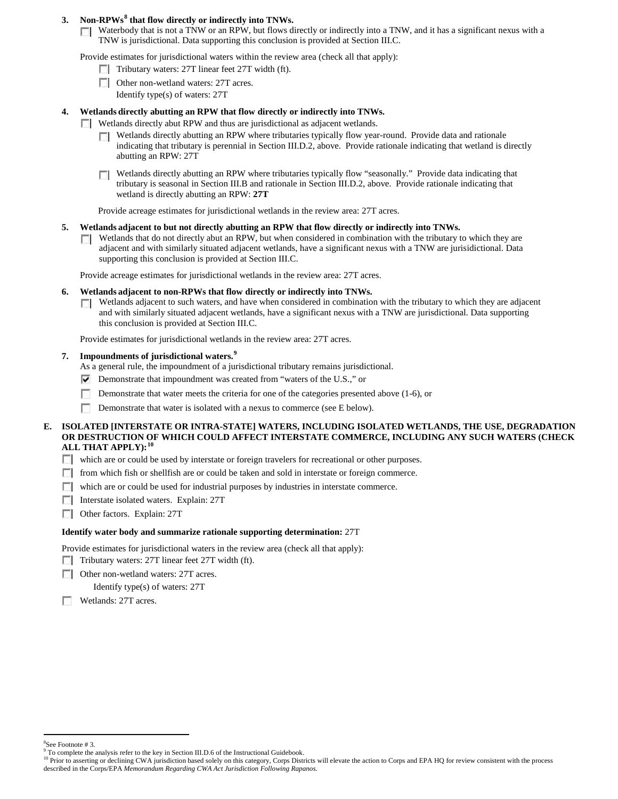# **3. Non-RPWs[8](#page-5-0) that flow directly or indirectly into TNWs.**

Waterbody that is not a TNW or an RPW, but flows directly or indirectly into a TNW, and it has a significant nexus with a TNW is jurisdictional. Data supporting this conclusion is provided at Section III.C.

Provide estimates for jurisdictional waters within the review area (check all that apply):

- $\Box$  Tributary waters: 27T linear feet 27T width (ft).
- Other non-wetland waters: 27T acres. Identify type(s) of waters: 27T

## **4. Wetlands directly abutting an RPW that flow directly or indirectly into TNWs.**

- Wetlands directly abut RPW and thus are jurisdictional as adjacent wetlands.
	- Wetlands directly abutting an RPW where tributaries typically flow year-round. Provide data and rationale indicating that tributary is perennial in Section III.D.2, above. Provide rationale indicating that wetland is directly abutting an RPW: 27T
	- Wetlands directly abutting an RPW where tributaries typically flow "seasonally." Provide data indicating that tributary is seasonal in Section III.B and rationale in Section III.D.2, above. Provide rationale indicating that wetland is directly abutting an RPW: **27T**

Provide acreage estimates for jurisdictional wetlands in the review area: 27T acres.

### **5. Wetlands adjacent to but not directly abutting an RPW that flow directly or indirectly into TNWs.**

Wetlands that do not directly abut an RPW, but when considered in combination with the tributary to which they are n. adjacent and with similarly situated adjacent wetlands, have a significant nexus with a TNW are jurisidictional. Data supporting this conclusion is provided at Section III.C.

Provide acreage estimates for jurisdictional wetlands in the review area: 27T acres.

### **6. Wetlands adjacent to non-RPWs that flow directly or indirectly into TNWs.**

 $\Box$  Wetlands adjacent to such waters, and have when considered in combination with the tributary to which they are adjacent and with similarly situated adjacent wetlands, have a significant nexus with a TNW are jurisdictional. Data supporting this conclusion is provided at Section III.C.

Provide estimates for jurisdictional wetlands in the review area: 27T acres.

## **7. Impoundments of jurisdictional waters. [9](#page-5-1)**

As a general rule, the impoundment of a jurisdictional tributary remains jurisdictional.

- Demonstrate that impoundment was created from "waters of the U.S.," or
- Demonstrate that water meets the criteria for one of the categories presented above (1-6), or
- n Demonstrate that water is isolated with a nexus to commerce (see E below).

### **E. ISOLATED [INTERSTATE OR INTRA-STATE] WATERS, INCLUDING ISOLATED WETLANDS, THE USE, DEGRADATION OR DESTRUCTION OF WHICH COULD AFFECT INTERSTATE COMMERCE, INCLUDING ANY SUCH WATERS (CHECK ALL THAT APPLY):[10](#page-5-2)**

which are or could be used by interstate or foreign travelers for recreational or other purposes.

- from which fish or shellfish are or could be taken and sold in interstate or foreign commerce.
- $\Box$  which are or could be used for industrial purposes by industries in interstate commerce.
- **Interstate isolated waters. Explain: 27T**
- Other factors.Explain: 27T

#### **Identify water body and summarize rationale supporting determination:** 27T

Provide estimates for jurisdictional waters in the review area (check all that apply):

Tributary waters: 27T linear feet 27T width (ft).

**Other non-wetland waters: 27T acres.** 

Identify type(s) of waters: 27T

m. Wetlands: 27T acres.

 $\frac{1}{8}$ 

<span id="page-5-0"></span> ${}^{8}$ See Footnote # 3.<br>9 To complete the analysis refer to the key in Section III.D.6 of the Instructional Guidebook.

<span id="page-5-2"></span><span id="page-5-1"></span><sup>&</sup>lt;sup>10</sup> Prior to asserting or declining CWA jurisdiction based solely on this category, Corps Districts will elevate the action to Corps and EPA HQ for review consistent with the process described in the Corps/EPA *Memorandum Regarding CWA Act Jurisdiction Following Rapanos.*